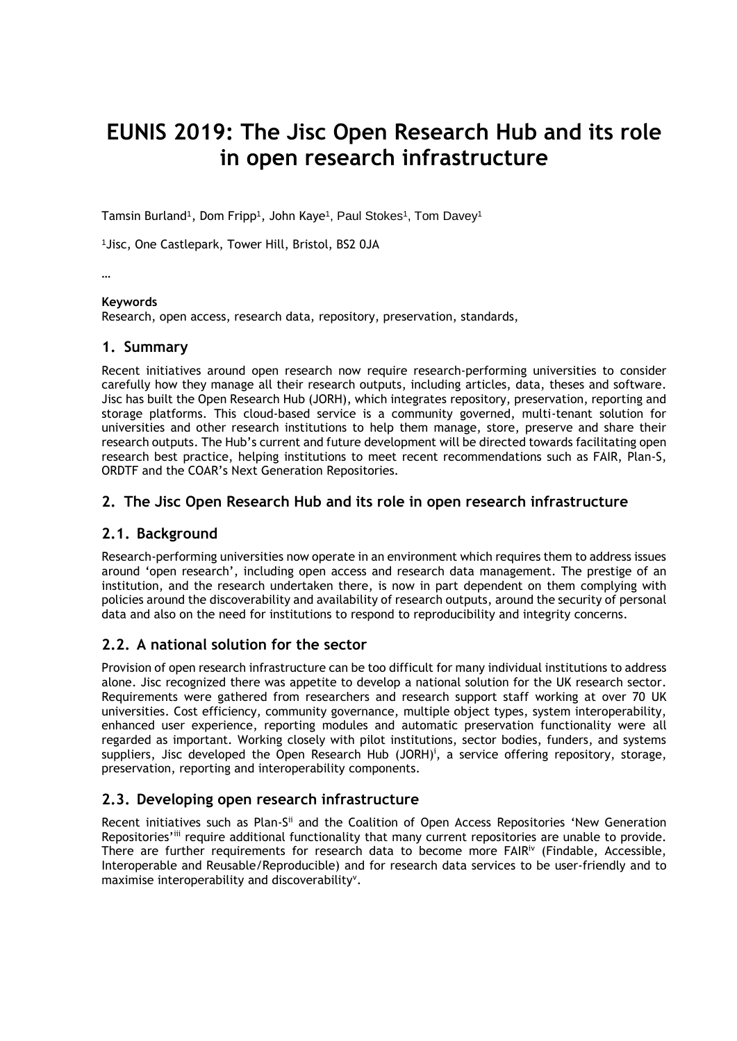# **EUNIS 2019: The Jisc Open Research Hub and its role in open research infrastructure**

Tamsin Burland<sup>1</sup>, Dom Fripp<sup>1</sup>, John Kaye<sup>1</sup>, Paul Stokes<sup>1</sup>, Tom Davey<sup>1</sup>

1Jisc, One Castlepark, Tower Hill, Bristol, BS2 0JA

…

#### **Keywords**

Research, open access, research data, repository, preservation, standards,

#### **1. Summary**

Recent initiatives around open research now require research-performing universities to consider carefully how they manage all their research outputs, including articles, data, theses and software. Jisc has built the Open Research Hub (JORH), which integrates repository, preservation, reporting and storage platforms. This cloud-based service is a community governed, multi-tenant solution for universities and other research institutions to help them manage, store, preserve and share their research outputs. The Hub's current and future development will be directed towards facilitating open research best practice, helping institutions to meet recent recommendations such as FAIR, Plan-S, ORDTF and the COAR's Next Generation Repositories.

### **2. The Jisc Open Research Hub and its role in open research infrastructure**

# **2.1. Background**

Research-performing universities now operate in an environment which requires them to address issues around 'open research', including open access and research data management. The prestige of an institution, and the research undertaken there, is now in part dependent on them complying with policies around the discoverability and availability of research outputs, around the security of personal data and also on the need for institutions to respond to reproducibility and integrity concerns.

# **2.2. A national solution for the sector**

Provision of open research infrastructure can be too difficult for many individual institutions to address alone. Jisc recognized there was appetite to develop a national solution for the UK research sector. Requirements were gathered from researchers and research support staff working at over 70 UK universities. Cost efficiency, community governance, multiple object types, system interoperability, enhanced user experience, reporting modules and automatic preservation functionality were all regarded as important. Working closely with pilot institutions, sector bodies, funders, and systems suppliers, Jisc developed the Open Research Hub (JORH)<sup>†</sup>, a service offering repository, storage, preservation, reporting and interoperability components.

# **2.3. Developing open research infrastructure**

Recent initiatives such as Plan-S<sup>ii</sup> and the Coalition of Open Access Repositories 'New Generation Repositories'<sup>iii</sup> require additional functionality that many current repositories are unable to provide. There are further requirements for research data to become more FAIR<sup>IV</sup> (Findable, Accessible, Interoperable and Reusable/Reproducible) and for research data services to be user-friendly and to maximise interoperability and discoverability<sup>v</sup>.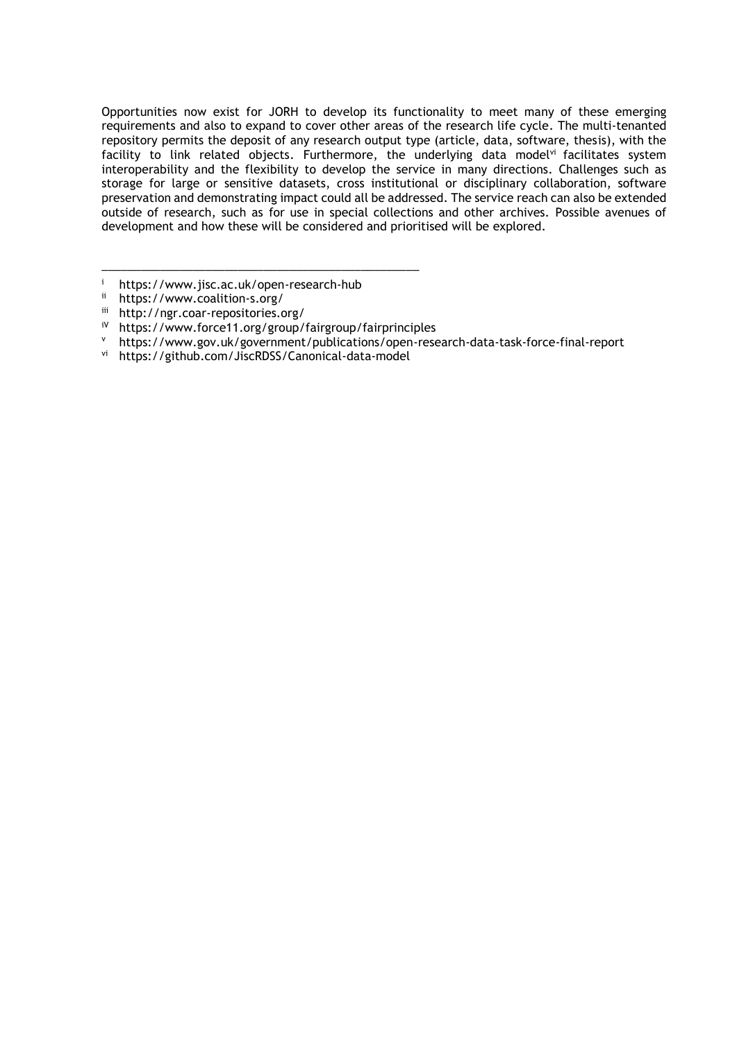Opportunities now exist for JORH to develop its functionality to meet many of these emerging requirements and also to expand to cover other areas of the research life cycle. The multi-tenanted repository permits the deposit of any research output type (article, data, software, thesis), with the facility to link related objects. Furthermore, the underlying data modelvi facilitates system interoperability and the flexibility to develop the service in many directions. Challenges such as storage for large or sensitive datasets, cross institutional or disciplinary collaboration, software preservation and demonstrating impact could all be addressed. The service reach can also be extended outside of research, such as for use in special collections and other archives. Possible avenues of development and how these will be considered and prioritised will be explored.

\_\_\_\_\_\_\_\_\_\_\_\_\_\_\_\_\_\_\_\_\_\_\_\_\_\_\_\_\_\_\_\_\_\_\_\_\_\_\_\_\_\_\_\_\_\_\_\_\_

<sup>&</sup>lt;sup>i</sup> https://www.jisc.ac.uk/open-research-hub<br> $^{ii}$  https://www.coalition-s.org/

ii <https://www.coalition-s.org/>

iii http://ngr.coar-repositories.org/<br>i<sup>V</sup> https://www.force11.org/group/

iV https://www.force11.org/group/fairgroup/fairprinciples

v https://www.gov.uk/government/publications/open-research-data-task-force-final-report<br>vi https://github.com/liscRDSS/Canonical-data-model

https://github.com/JiscRDSS/Canonical-data-model